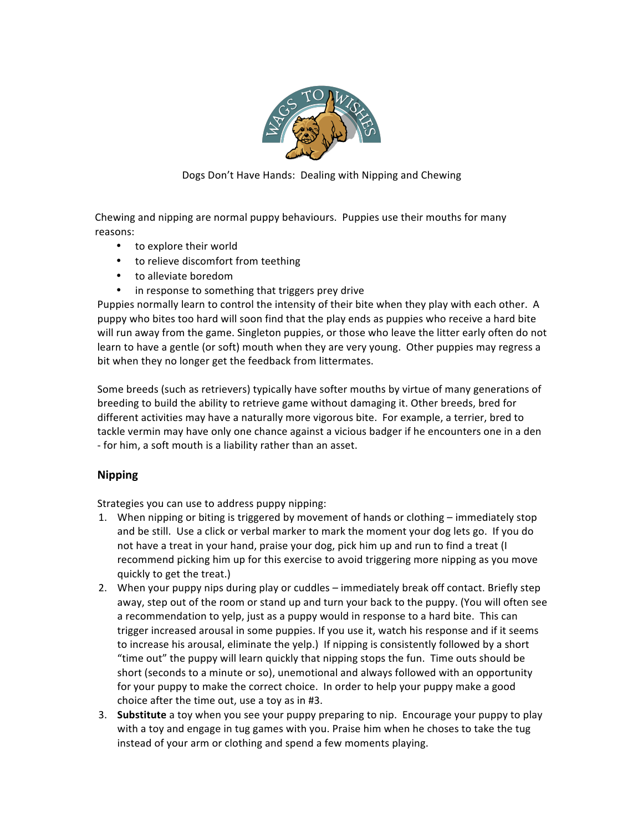

Dogs Don't Have Hands: Dealing with Nipping and Chewing

Chewing and nipping are normal puppy behaviours. Puppies use their mouths for many reasons:

- to explore their world
- to relieve discomfort from teething
- to alleviate boredom
- in response to something that triggers prey drive

Puppies normally learn to control the intensity of their bite when they play with each other. A puppy who bites too hard will soon find that the play ends as puppies who receive a hard bite will run away from the game. Singleton puppies, or those who leave the litter early often do not learn to have a gentle (or soft) mouth when they are very young. Other puppies may regress a bit when they no longer get the feedback from littermates.

Some breeds (such as retrievers) typically have softer mouths by virtue of many generations of breeding to build the ability to retrieve game without damaging it. Other breeds, bred for different activities may have a naturally more vigorous bite. For example, a terrier, bred to tackle vermin may have only one chance against a vicious badger if he encounters one in a den - for him, a soft mouth is a liability rather than an asset.

## **Nipping**

Strategies you can use to address puppy nipping:

- 1. When nipping or biting is triggered by movement of hands or clothing immediately stop and be still. Use a click or verbal marker to mark the moment your dog lets go. If you do not have a treat in your hand, praise your dog, pick him up and run to find a treat (I recommend picking him up for this exercise to avoid triggering more nipping as you move quickly to get the treat.)
- 2. When your puppy nips during play or cuddles immediately break off contact. Briefly step away, step out of the room or stand up and turn your back to the puppy. (You will often see a recommendation to yelp, just as a puppy would in response to a hard bite. This can trigger increased arousal in some puppies. If you use it, watch his response and if it seems to increase his arousal, eliminate the yelp.) If nipping is consistently followed by a short "time out" the puppy will learn quickly that nipping stops the fun. Time outs should be short (seconds to a minute or so), unemotional and always followed with an opportunity for your puppy to make the correct choice. In order to help your puppy make a good choice after the time out, use a toy as in #3.
- 3. **Substitute** a toy when you see your puppy preparing to nip. Encourage your puppy to play with a toy and engage in tug games with you. Praise him when he choses to take the tug instead of your arm or clothing and spend a few moments playing.